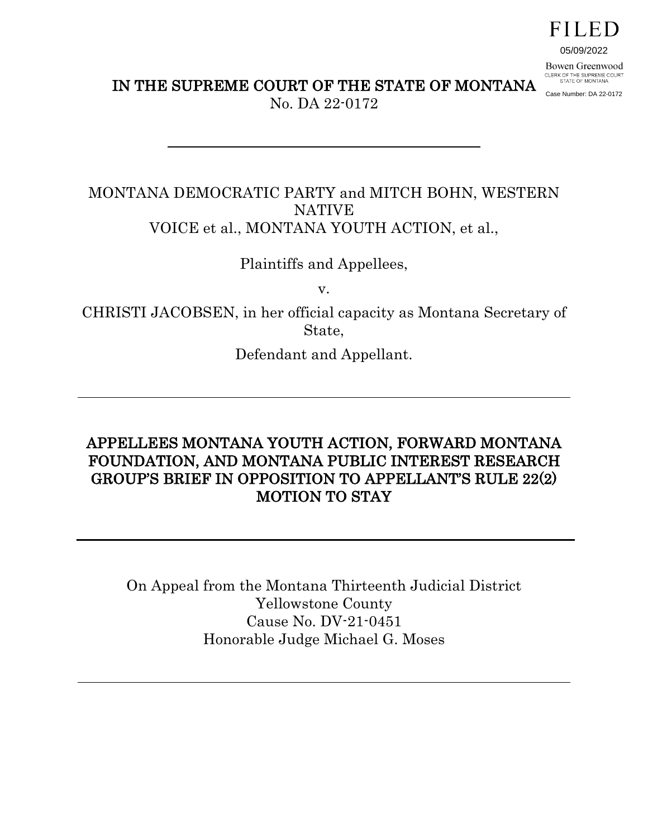# FILED

05/09/2022

Case Number: DA 22-0172

Bowen Greenwood CLERK OF THE SUPREME COURT<br>STATE OF MONTANA

IN THE SUPREME COURT OF THE STATE OF MONTANA

No. DA 22-0172

## MONTANA DEMOCRATIC PARTY and MITCH BOHN, WESTERN NATIVE VOICE et al., MONTANA YOUTH ACTION, et al.,

Plaintiffs and Appellees,

v.

CHRISTI JACOBSEN, in her official capacity as Montana Secretary of State,

Defendant and Appellant.

# APPELLEES MONTANA YOUTH ACTION, FORWARD MONTANA FOUNDATION, AND MONTANA PUBLIC INTEREST RESEARCH GROUP'S BRIEF IN OPPOSITION TO APPELLANT'S RULE 22(2) MOTION TO STAY

On Appeal from the Montana Thirteenth Judicial District Yellowstone County Cause No. DV-21-0451 Honorable Judge Michael G. Moses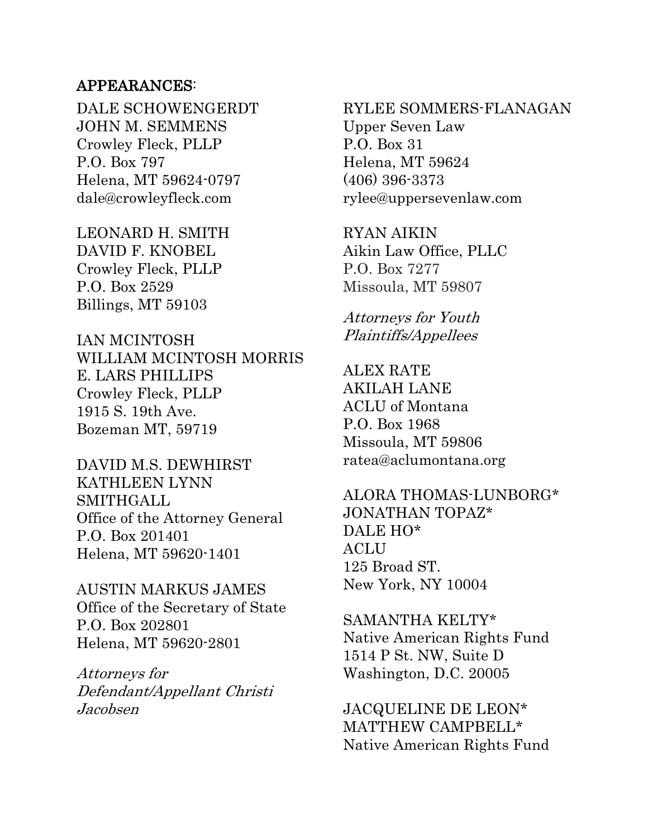### APPEARANCES:

DALE SCHOWENGERDT JOHN M. SEMMENS Crowley Fleck, PLLP P.O. Box 797 Helena, MT 59624-0797 dale@crowleyfleck.com

LEONARD H. SMITH DAVID F. KNOBEL Crowley Fleck, PLLP P.O. Box 2529 Billings, MT 59103

IAN MCINTOSH WILLIAM MCINTOSH MORRIS E. LARS PHILLIPS Crowley Fleck, PLLP 1915 S. 19th Ave. Bozeman MT, 59719

DAVID M.S. DEWHIRST KATHLEEN LYNN SMITHGALL Office of the Attorney General P.O. Box 201401 Helena, MT 59620-1401

AUSTIN MARKUS JAMES Office of the Secretary of State P.O. Box 202801 Helena, MT 59620-2801

Attorneys for Defendant/Appellant Christi Jacobsen

RYLEE SOMMERS-FLANAGAN Upper Seven Law P.O. Box 31 Helena, MT 59624 (406) 396-3373 rylee@uppersevenlaw.com

RYAN AIKIN Aikin Law Office, PLLC P.O. Box 7277 Missoula, MT 59807

Attorneys for Youth Plaintiffs/Appellees

ALEX RATE AKILAH LANE ACLU of Montana P.O. Box 1968 Missoula, MT 59806 ratea@aclumontana.org

ALORA THOMAS-LUNBORG\* JONATHAN TOPAZ\* DALE HO\* **ACLU** 125 Broad ST. New York, NY 10004

SAMANTHA KELTY\* Native American Rights Fund 1514 P St. NW, Suite D Washington, D.C. 20005

JACQUELINE DE LEON\* MATTHEW CAMPBELL\* Native American Rights Fund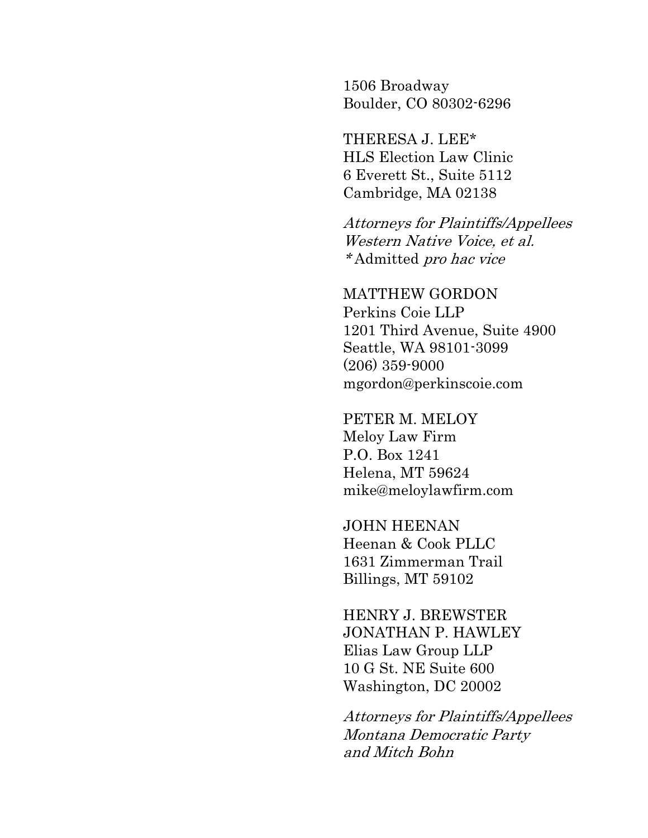1506 Broadway Boulder, CO 80302-6296

THERESA J. LEE\* HLS Election Law Clinic 6 Everett St., Suite 5112 Cambridge, MA 02138

Attorneys for Plaintiffs/Appellees Western Native Voice, et al. \* Admitted pro hac vice

MATTHEW GORDON Perkins Coie LLP 1201 Third Avenue, Suite 4900 Seattle, WA 98101-3099 (206) 359-9000 mgordon@perkinscoie.com

PETER M. MELOY Meloy Law Firm P.O. Box 1241 Helena, MT 59624 mike@meloylawfirm.com

JOHN HEENAN Heenan & Cook PLLC 1631 Zimmerman Trail Billings, MT 59102

HENRY J. BREWSTER JONATHAN P. HAWLEY Elias Law Group LLP 10 G St. NE Suite 600 Washington, DC 20002

Attorneys for Plaintiffs/Appellees Montana Democratic Party and Mitch Bohn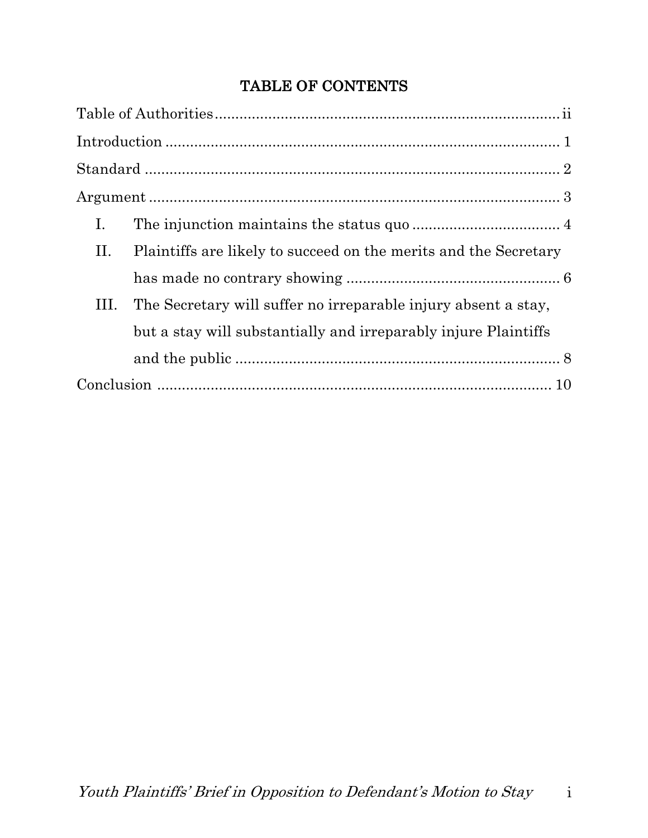# TABLE OF CONTENTS

| Ι.                                                                     |  |
|------------------------------------------------------------------------|--|
| Plaintiffs are likely to succeed on the merits and the Secretary<br>П. |  |
|                                                                        |  |
| The Secretary will suffer no irreparable injury absent a stay,<br>III. |  |
| but a stay will substantially and irreparably injure Plaintiffs        |  |
|                                                                        |  |
|                                                                        |  |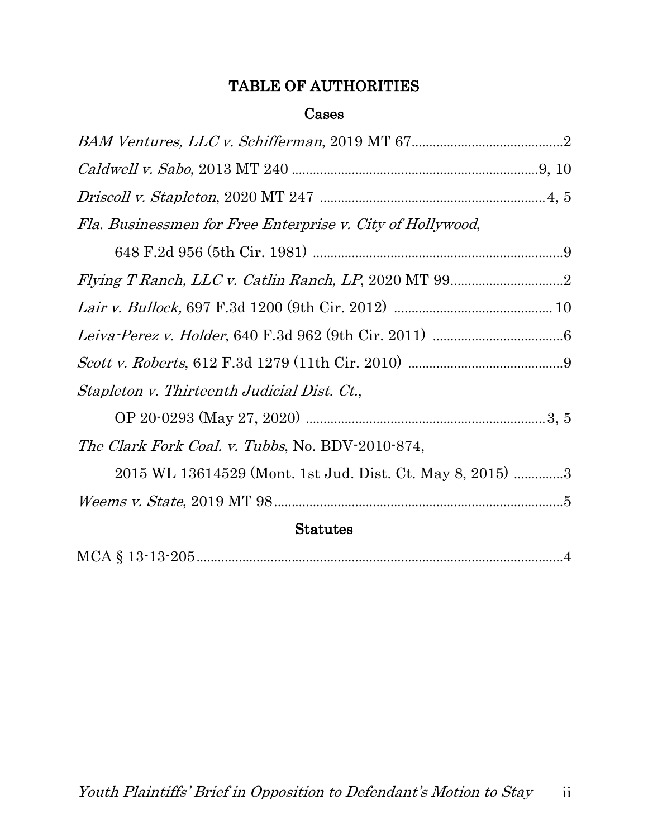# TABLE OF AUTHORITIES

### Cases

| Fla. Businessmen for Free Enterprise v. City of Hollywood, |  |
|------------------------------------------------------------|--|
|                                                            |  |
|                                                            |  |
|                                                            |  |
|                                                            |  |
|                                                            |  |
| Stapleton v. Thirteenth Judicial Dist. Ct.,                |  |
|                                                            |  |
| <i>The Clark Fork Coal. v. Tubbs, No. BDV-2010-874,</i>    |  |
| 2015 WL 13614529 (Mont. 1st Jud. Dist. Ct. May 8, 2015) 3  |  |
|                                                            |  |
| <b>Statutes</b>                                            |  |
|                                                            |  |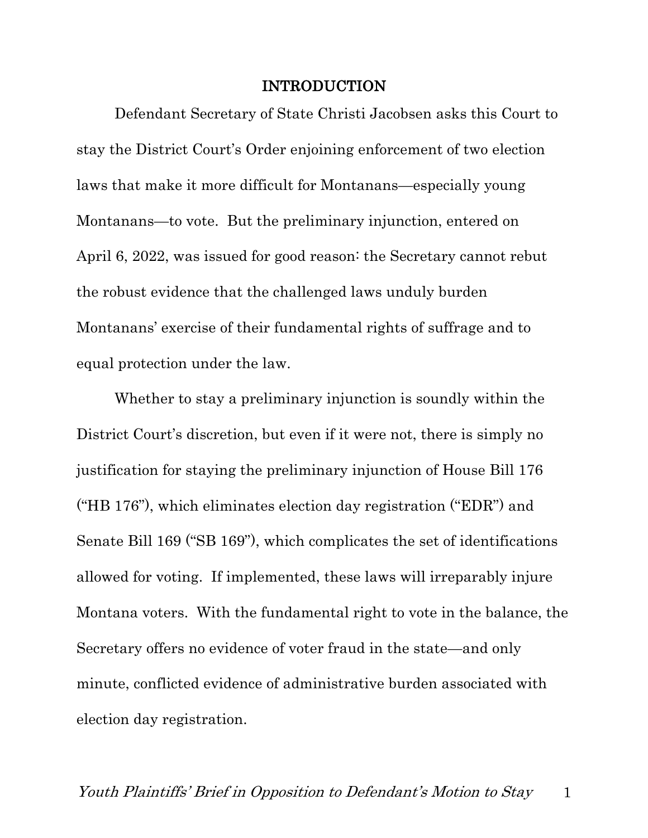#### INTRODUCTION

Defendant Secretary of State Christi Jacobsen asks this Court to stay the District Court's Order enjoining enforcement of two election laws that make it more difficult for Montanans—especially young Montanans—to vote. But the preliminary injunction, entered on April 6, 2022, was issued for good reason: the Secretary cannot rebut the robust evidence that the challenged laws unduly burden Montanans' exercise of their fundamental rights of suffrage and to equal protection under the law.

Whether to stay a preliminary injunction is soundly within the District Court's discretion, but even if it were not, there is simply no justification for staying the preliminary injunction of House Bill 176 ("HB 176"), which eliminates election day registration ("EDR") and Senate Bill 169 ("SB 169"), which complicates the set of identifications allowed for voting. If implemented, these laws will irreparably injure Montana voters. With the fundamental right to vote in the balance, the Secretary offers no evidence of voter fraud in the state—and only minute, conflicted evidence of administrative burden associated with election day registration.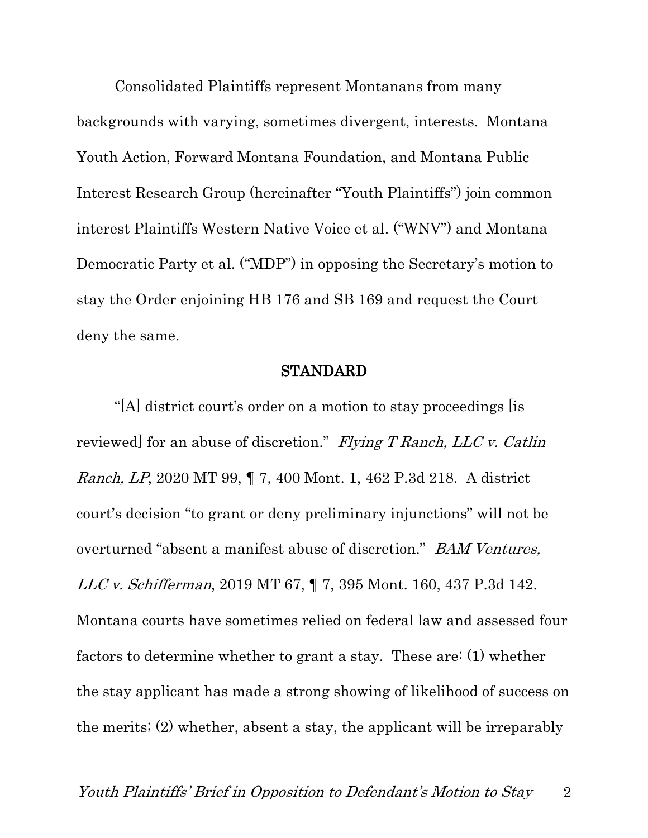Consolidated Plaintiffs represent Montanans from many backgrounds with varying, sometimes divergent, interests. Montana Youth Action, Forward Montana Foundation, and Montana Public Interest Research Group (hereinafter "Youth Plaintiffs") join common interest Plaintiffs Western Native Voice et al. ("WNV") and Montana Democratic Party et al. ("MDP") in opposing the Secretary's motion to stay the Order enjoining HB 176 and SB 169 and request the Court deny the same.

#### STANDARD

"[A] district court's order on a motion to stay proceedings [is reviewed] for an abuse of discretion." Flying T Ranch, LLC v. Catlin Ranch, LP, 2020 MT 99, ¶ 7, 400 Mont. 1, 462 P.3d 218. A district court's decision "to grant or deny preliminary injunctions" will not be overturned "absent a manifest abuse of discretion." BAM Ventures, LLC v. Schifferman, 2019 MT 67, ¶ 7, 395 Mont. 160, 437 P.3d 142. Montana courts have sometimes relied on federal law and assessed four factors to determine whether to grant a stay. These are: (1) whether the stay applicant has made a strong showing of likelihood of success on the merits; (2) whether, absent a stay, the applicant will be irreparably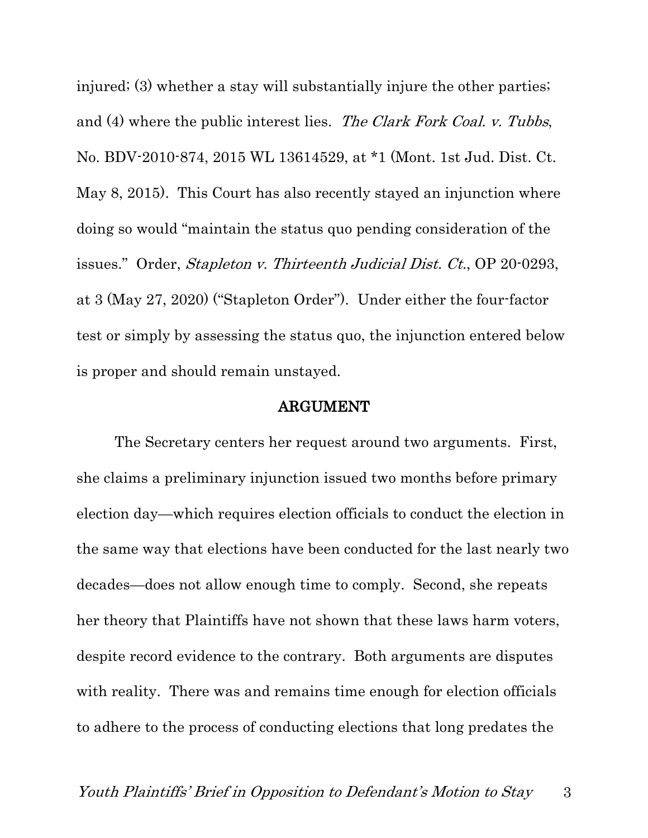injured; (3) whether a stay will substantially injure the other parties; and (4) where the public interest lies. The Clark Fork Coal. v. Tubbs, No. BDV-2010-874, 2015 WL 13614529, at \*1 (Mont. 1st Jud. Dist. Ct. May 8, 2015). This Court has also recently stayed an injunction where doing so would "maintain the status quo pending consideration of the issues." Order, Stapleton v. Thirteenth Judicial Dist. Ct., OP 20-0293, at 3 (May 27, 2020) ("Stapleton Order"). Under either the four-factor test or simply by assessing the status quo, the injunction entered below is proper and should remain unstayed.

#### ARGUMENT

The Secretary centers her request around two arguments. First, she claims a preliminary injunction issued two months before primary election day—which requires election officials to conduct the election in the same way that elections have been conducted for the last nearly two decades—does not allow enough time to comply. Second, she repeats her theory that Plaintiffs have not shown that these laws harm voters, despite record evidence to the contrary. Both arguments are disputes with reality. There was and remains time enough for election officials to adhere to the process of conducting elections that long predates the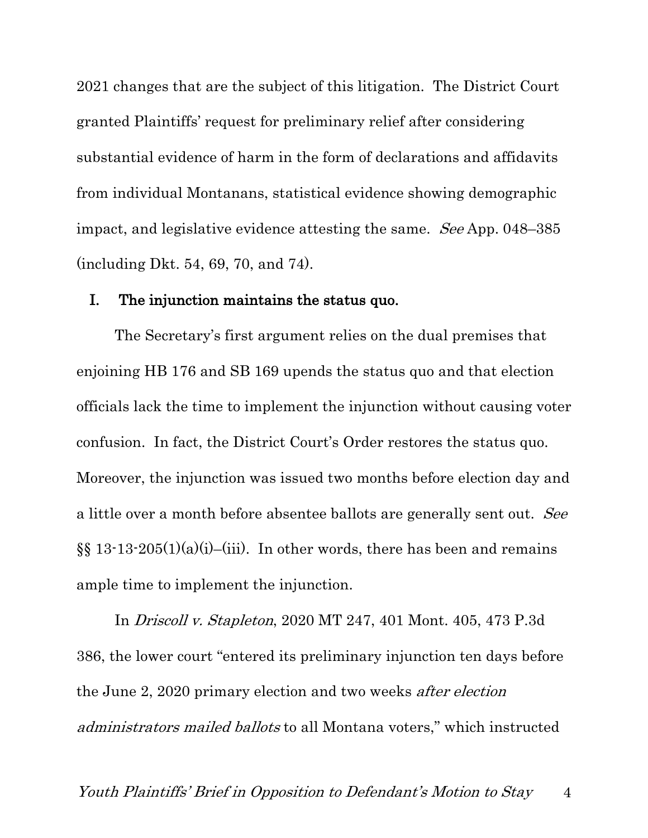2021 changes that are the subject of this litigation. The District Court granted Plaintiffs' request for preliminary relief after considering substantial evidence of harm in the form of declarations and affidavits from individual Montanans, statistical evidence showing demographic impact, and legislative evidence attesting the same. See App. 048–385 (including Dkt. 54, 69, 70, and 74).

#### I. The injunction maintains the status quo.

The Secretary's first argument relies on the dual premises that enjoining HB 176 and SB 169 upends the status quo and that election officials lack the time to implement the injunction without causing voter confusion. In fact, the District Court's Order restores the status quo. Moreover, the injunction was issued two months before election day and a little over a month before absentee ballots are generally sent out. See  $\S\S 13-13-205(1)(a)(i)$ –(iii). In other words, there has been and remains ample time to implement the injunction.

In Driscoll v. Stapleton, 2020 MT 247, 401 Mont. 405, 473 P.3d 386, the lower court "entered its preliminary injunction ten days before the June 2, 2020 primary election and two weeks after election administrators mailed ballots to all Montana voters," which instructed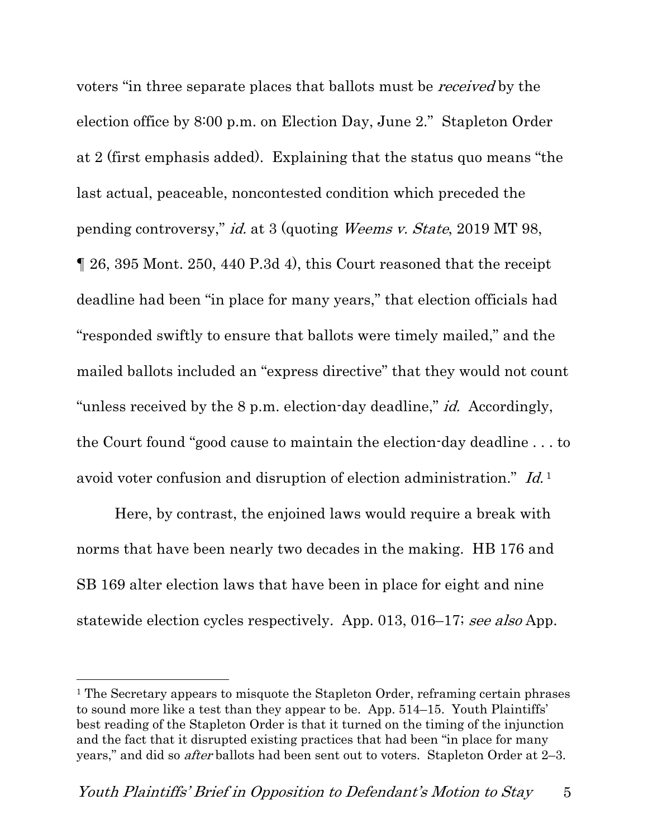voters "in three separate places that ballots must be received by the election office by 8:00 p.m. on Election Day, June 2." Stapleton Order at 2 (first emphasis added). Explaining that the status quo means "the last actual, peaceable, noncontested condition which preceded the pending controversy," id. at 3 (quoting Weems v. State, 2019 MT 98, ¶ 26, 395 Mont. 250, 440 P.3d 4), this Court reasoned that the receipt deadline had been "in place for many years," that election officials had "responded swiftly to ensure that ballots were timely mailed," and the mailed ballots included an "express directive" that they would not count "unless received by the 8 p.m. election-day deadline," *id.* Accordingly, the Court found "good cause to maintain the election-day deadline . . . to avoid voter confusion and disruption of election administration." Id.<sup>1</sup>

Here, by contrast, the enjoined laws would require a break with norms that have been nearly two decades in the making. HB 176 and SB 169 alter election laws that have been in place for eight and nine statewide election cycles respectively. App. 013, 016–17; see also App.

<sup>1</sup> The Secretary appears to misquote the Stapleton Order, reframing certain phrases to sound more like a test than they appear to be. App. 514–15. Youth Plaintiffs' best reading of the Stapleton Order is that it turned on the timing of the injunction and the fact that it disrupted existing practices that had been "in place for many years," and did so after ballots had been sent out to voters. Stapleton Order at 2–3.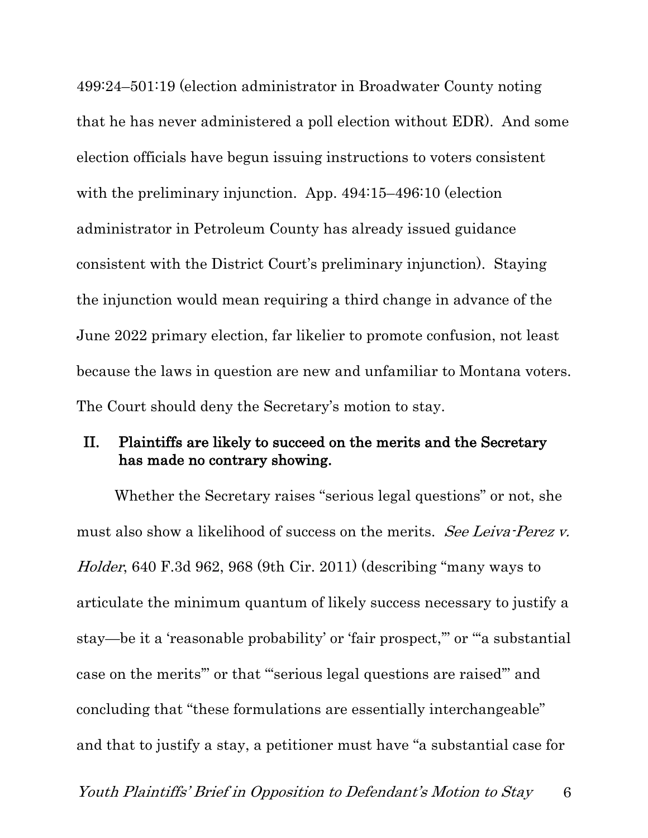499:24–501:19 (election administrator in Broadwater County noting that he has never administered a poll election without EDR). And some election officials have begun issuing instructions to voters consistent with the preliminary injunction. App. 494:15–496:10 (election administrator in Petroleum County has already issued guidance consistent with the District Court's preliminary injunction). Staying the injunction would mean requiring a third change in advance of the June 2022 primary election, far likelier to promote confusion, not least because the laws in question are new and unfamiliar to Montana voters. The Court should deny the Secretary's motion to stay.

### II. Plaintiffs are likely to succeed on the merits and the Secretary has made no contrary showing.

Whether the Secretary raises "serious legal questions" or not, she must also show a likelihood of success on the merits. See Leiva-Perez v. Holder, 640 F.3d 962, 968 (9th Cir. 2011) (describing "many ways to articulate the minimum quantum of likely success necessary to justify a stay—be it a 'reasonable probability' or 'fair prospect,'" or "'a substantial case on the merits'" or that "'serious legal questions are raised'" and concluding that "these formulations are essentially interchangeable" and that to justify a stay, a petitioner must have "a substantial case for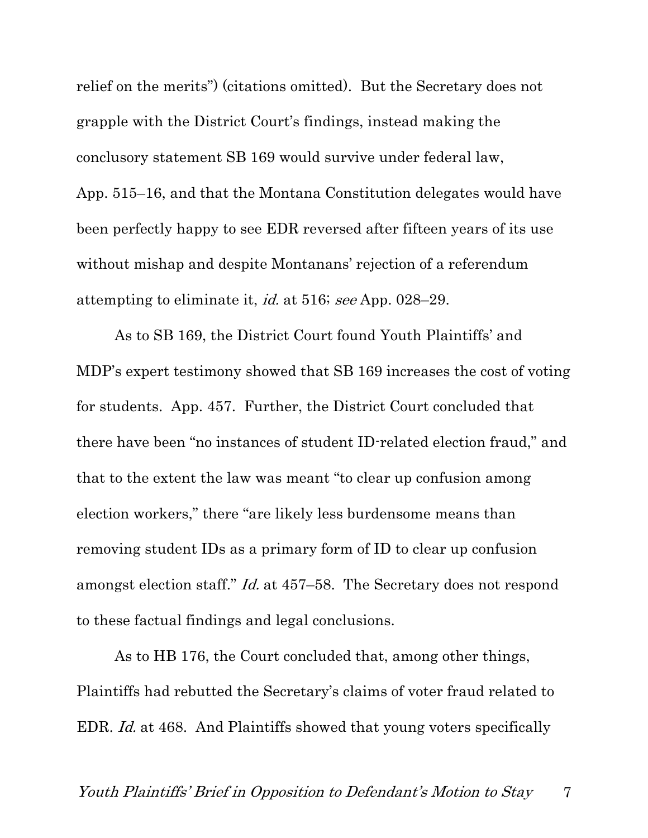relief on the merits") (citations omitted). But the Secretary does not grapple with the District Court's findings, instead making the conclusory statement SB 169 would survive under federal law, App. 515–16, and that the Montana Constitution delegates would have been perfectly happy to see EDR reversed after fifteen years of its use without mishap and despite Montanans' rejection of a referendum attempting to eliminate it, id. at 516; see App. 028–29.

As to SB 169, the District Court found Youth Plaintiffs' and MDP's expert testimony showed that SB 169 increases the cost of voting for students. App. 457. Further, the District Court concluded that there have been "no instances of student ID-related election fraud," and that to the extent the law was meant "to clear up confusion among election workers," there "are likely less burdensome means than removing student IDs as a primary form of ID to clear up confusion amongst election staff." Id. at 457–58. The Secretary does not respond to these factual findings and legal conclusions.

As to HB 176, the Court concluded that, among other things, Plaintiffs had rebutted the Secretary's claims of voter fraud related to EDR. Id. at 468. And Plaintiffs showed that young voters specifically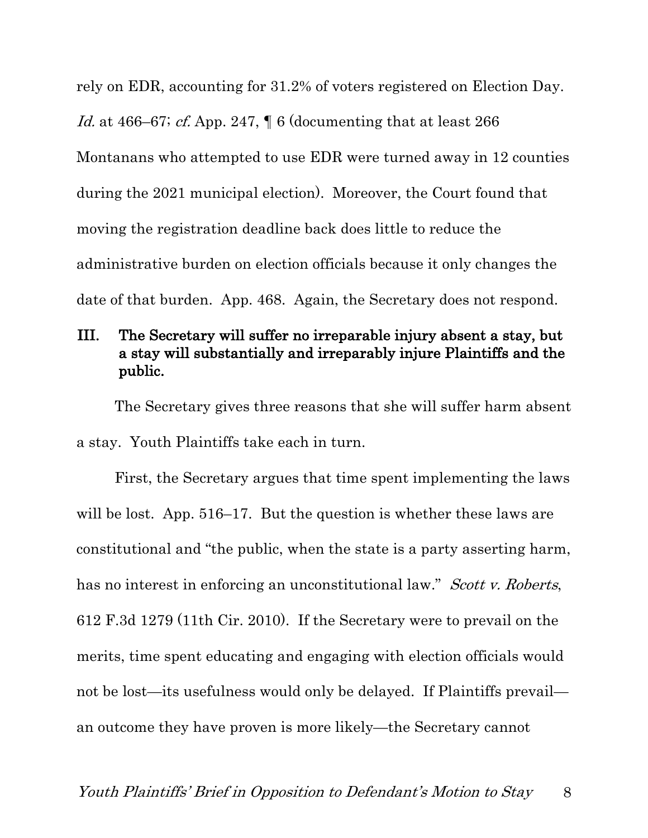rely on EDR, accounting for 31.2% of voters registered on Election Day. Id. at 466–67; cf. App. 247,  $\parallel$  6 (documenting that at least 266) Montanans who attempted to use EDR were turned away in 12 counties during the 2021 municipal election). Moreover, the Court found that moving the registration deadline back does little to reduce the administrative burden on election officials because it only changes the date of that burden. App. 468. Again, the Secretary does not respond.

# III. The Secretary will suffer no irreparable injury absent a stay, but a stay will substantially and irreparably injure Plaintiffs and the public.

The Secretary gives three reasons that she will suffer harm absent a stay. Youth Plaintiffs take each in turn.

First, the Secretary argues that time spent implementing the laws will be lost. App. 516–17. But the question is whether these laws are constitutional and "the public, when the state is a party asserting harm, has no interest in enforcing an unconstitutional law." Scott v. Roberts, 612 F.3d 1279 (11th Cir. 2010). If the Secretary were to prevail on the merits, time spent educating and engaging with election officials would not be lost—its usefulness would only be delayed. If Plaintiffs prevail an outcome they have proven is more likely—the Secretary cannot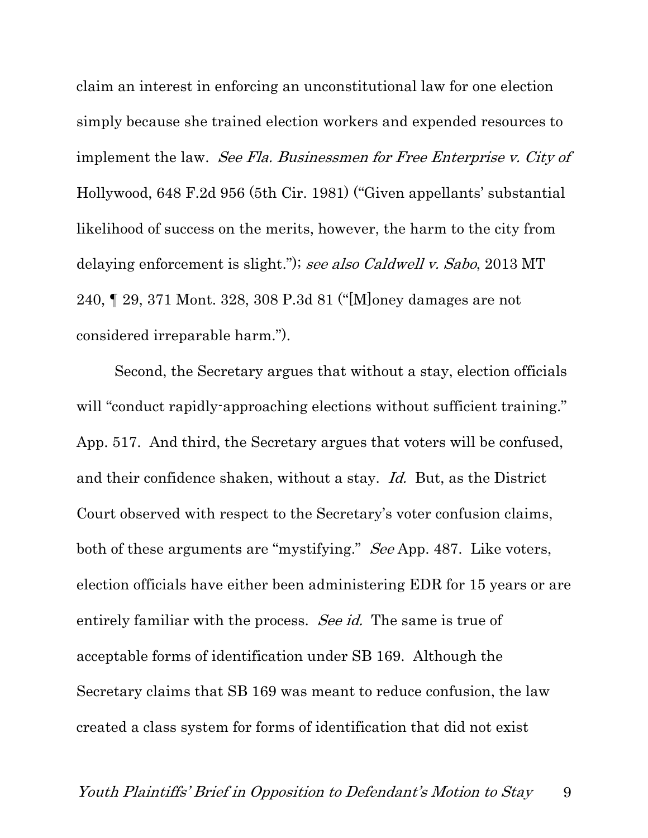claim an interest in enforcing an unconstitutional law for one election simply because she trained election workers and expended resources to implement the law. See Fla. Businessmen for Free Enterprise v. City of Hollywood, 648 F.2d 956 (5th Cir. 1981) ("Given appellants' substantial likelihood of success on the merits, however, the harm to the city from delaying enforcement is slight."); see also Caldwell v. Sabo, 2013 MT 240, ¶ 29, 371 Mont. 328, 308 P.3d 81 ("[M]oney damages are not considered irreparable harm.").

Second, the Secretary argues that without a stay, election officials will "conduct rapidly-approaching elections without sufficient training." App. 517. And third, the Secretary argues that voters will be confused, and their confidence shaken, without a stay. Id. But, as the District Court observed with respect to the Secretary's voter confusion claims, both of these arguments are "mystifying." See App. 487. Like voters, election officials have either been administering EDR for 15 years or are entirely familiar with the process. *See id.* The same is true of acceptable forms of identification under SB 169. Although the Secretary claims that SB 169 was meant to reduce confusion, the law created a class system for forms of identification that did not exist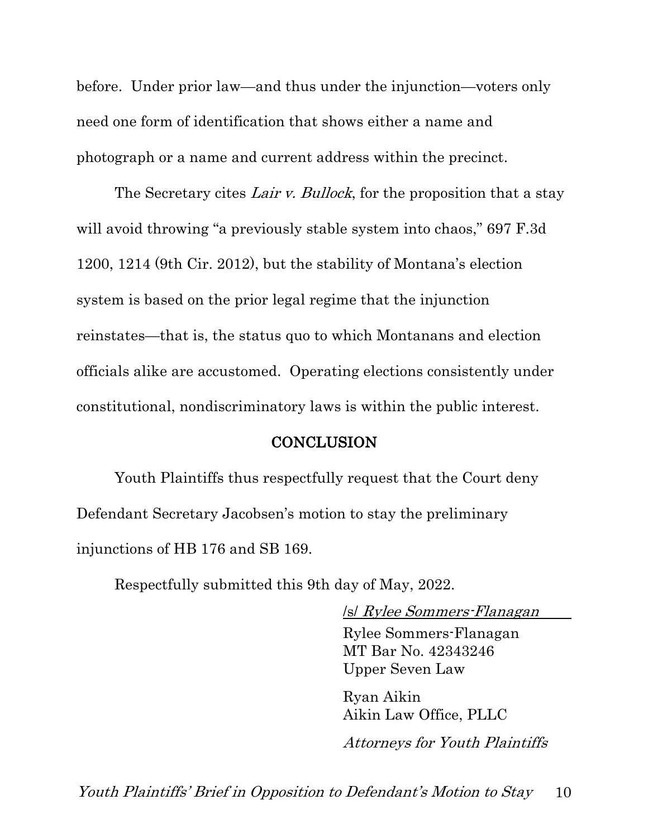before. Under prior law—and thus under the injunction—voters only need one form of identification that shows either a name and photograph or a name and current address within the precinct.

The Secretary cites Lair v. Bullock, for the proposition that a stay will avoid throwing "a previously stable system into chaos," 697 F.3d 1200, 1214 (9th Cir. 2012), but the stability of Montana's election system is based on the prior legal regime that the injunction reinstates—that is, the status quo to which Montanans and election officials alike are accustomed. Operating elections consistently under constitutional, nondiscriminatory laws is within the public interest.

#### **CONCLUSION**

Youth Plaintiffs thus respectfully request that the Court deny Defendant Secretary Jacobsen's motion to stay the preliminary injunctions of HB 176 and SB 169.

Respectfully submitted this 9th day of May, 2022.

/s/ Rylee Sommers-Flanagan

Rylee Sommers-Flanagan MT Bar No. 42343246 Upper Seven Law

Ryan Aikin Aikin Law Office, PLLC

Attorneys for Youth Plaintiffs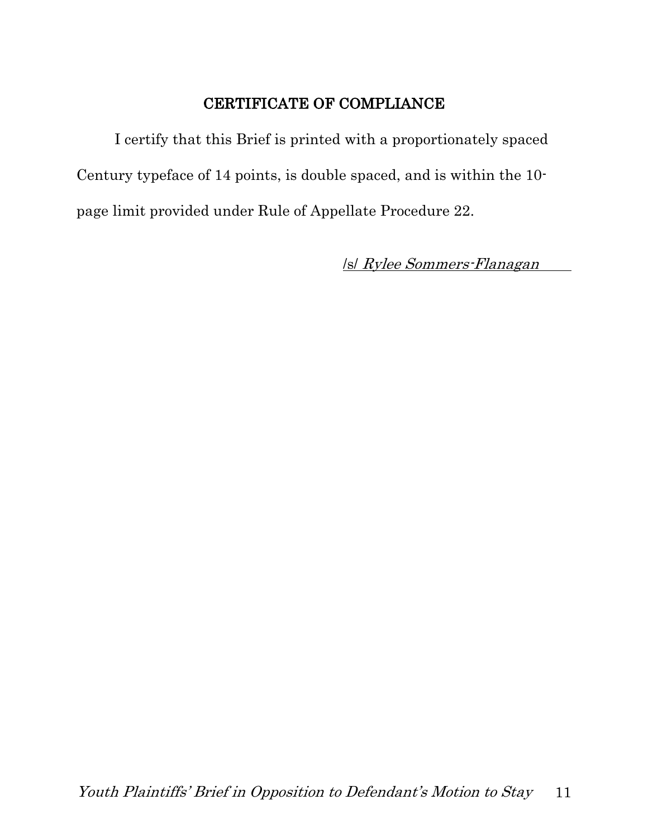# CERTIFICATE OF COMPLIANCE

I certify that this Brief is printed with a proportionately spaced Century typeface of 14 points, is double spaced, and is within the 10 page limit provided under Rule of Appellate Procedure 22.

/s/ Rylee Sommers-Flanagan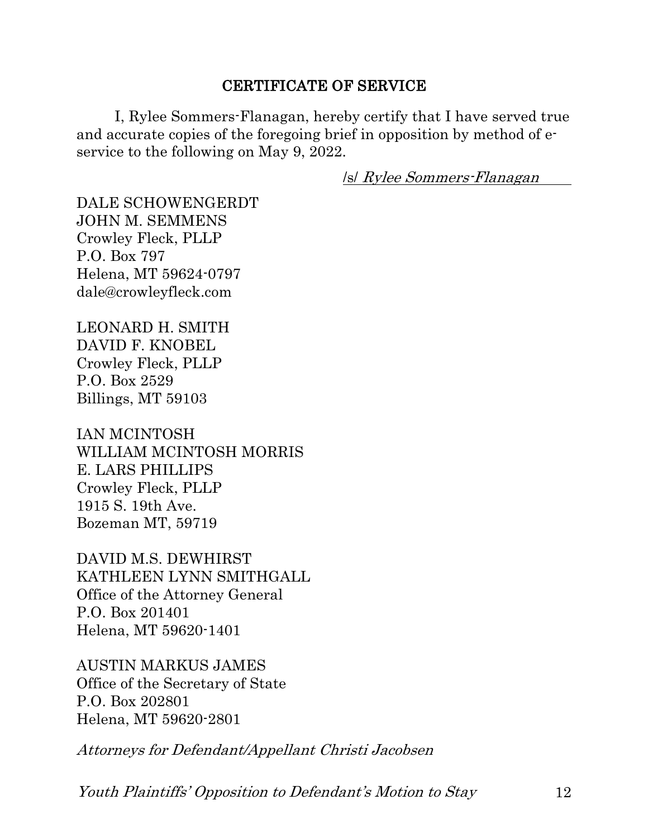### CERTIFICATE OF SERVICE

I, Rylee Sommers-Flanagan, hereby certify that I have served true and accurate copies of the foregoing brief in opposition by method of eservice to the following on May 9, 2022.

/s/ Rylee Sommers-Flanagan

DALE SCHOWENGERDT JOHN M. SEMMENS Crowley Fleck, PLLP P.O. Box 797 Helena, MT 59624-0797 dale@crowleyfleck.com

LEONARD H. SMITH DAVID F. KNOBEL Crowley Fleck, PLLP P.O. Box 2529 Billings, MT 59103

IAN MCINTOSH WILLIAM MCINTOSH MORRIS E. LARS PHILLIPS Crowley Fleck, PLLP 1915 S. 19th Ave. Bozeman MT, 59719

DAVID M.S. DEWHIRST KATHLEEN LYNN SMITHGALL Office of the Attorney General P.O. Box 201401 Helena, MT 59620-1401

AUSTIN MARKUS JAMES Office of the Secretary of State P.O. Box 202801 Helena, MT 59620-2801

Attorneys for Defendant/Appellant Christi Jacobsen

Youth Plaintiffs' Opposition to Defendant's Motion to Stay 12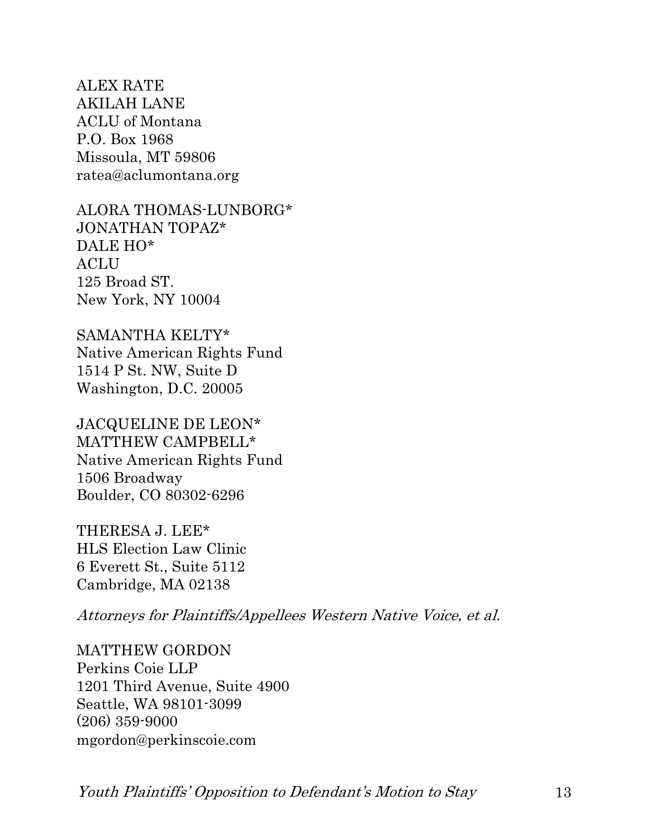ALEX RATE AKILAH LANE ACLU of Montana P.O. Box 1968 Missoula, MT 59806 ratea@aclumontana.org

ALORA THOMAS-LUNBORG\* JONATHAN TOPAZ\* DALE HO\* **ACLU** 125 Broad ST. New York, NY 10004

SAMANTHA KELTY\* Native American Rights Fund 1514 P St. NW, Suite D Washington, D.C. 20005

JACQUELINE DE LEON\* MATTHEW CAMPBELL\* Native American Rights Fund 1506 Broadway Boulder, CO 80302-6296

THERESA J. LEE\* HLS Election Law Clinic 6 Everett St., Suite 5112 Cambridge, MA 02138

Attorneys for Plaintiffs/Appellees Western Native Voice, et al.

MATTHEW GORDON Perkins Coie LLP 1201 Third Avenue, Suite 4900 Seattle, WA 98101-3099 (206) 359-9000 mgordon@perkinscoie.com

Youth Plaintiffs' Opposition to Defendant's Motion to Stay 13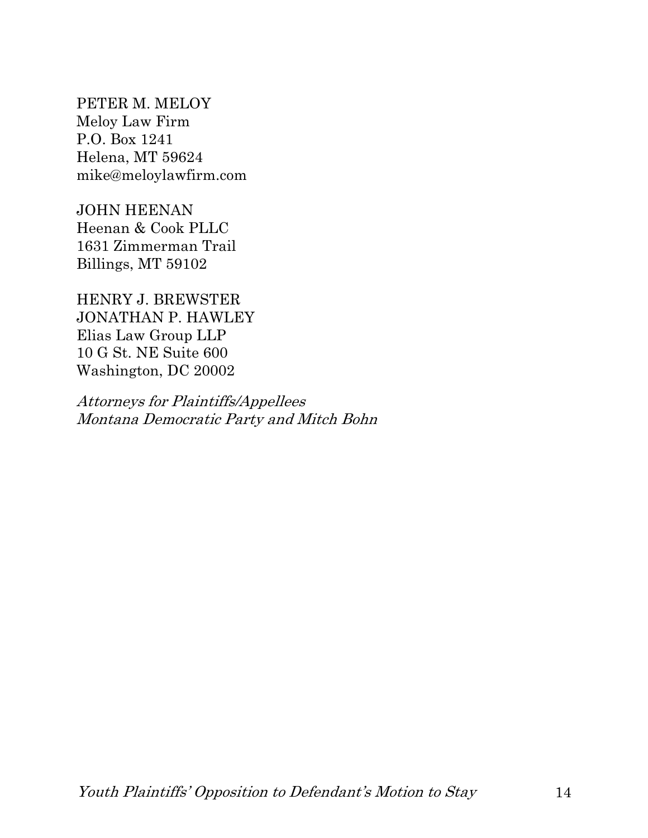PETER M. MELOY Meloy Law Firm P.O. Box 1241 Helena, MT 59624 mike@meloylawfirm.com

JOHN HEENAN Heenan & Cook PLLC 1631 Zimmerman Trail Billings, MT 59102

HENRY J. BREWSTER JONATHAN P. HAWLEY Elias Law Group LLP 10 G St. NE Suite 600 Washington, DC 20002

Attorneys for Plaintiffs/Appellees Montana Democratic Party and Mitch Bohn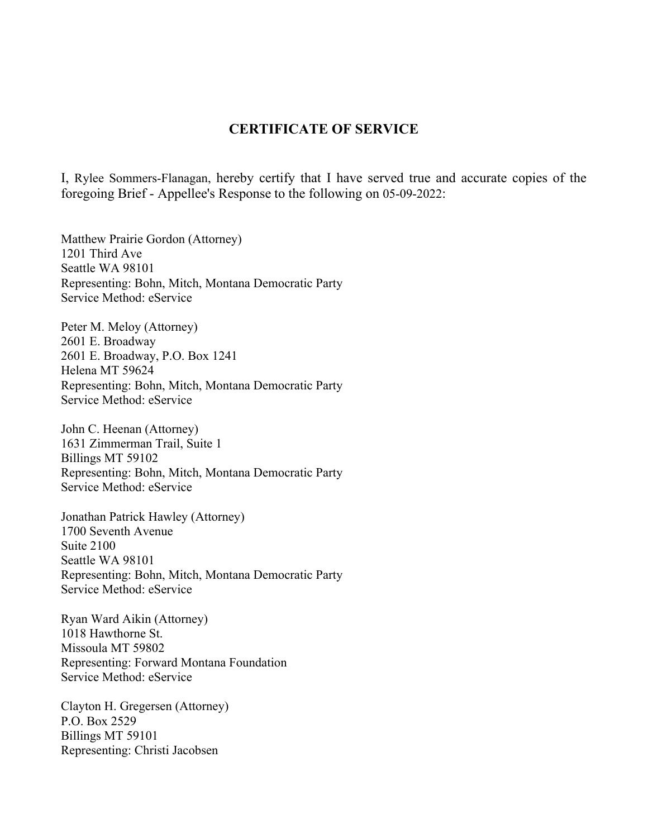#### **CERTIFICATE OF SERVICE**

I, Rylee Sommers-Flanagan, hereby certify that I have served true and accurate copies of the foregoing Brief - Appellee's Response to the following on 05-09-2022:

Matthew Prairie Gordon (Attorney) 1201 Third Ave Seattle WA 98101 Representing: Bohn, Mitch, Montana Democratic Party Service Method: eService

Peter M. Meloy (Attorney) 2601 E. Broadway 2601 E. Broadway, P.O. Box 1241 Helena MT 59624 Representing: Bohn, Mitch, Montana Democratic Party Service Method: eService

John C. Heenan (Attorney) 1631 Zimmerman Trail, Suite 1 Billings MT 59102 Representing: Bohn, Mitch, Montana Democratic Party Service Method: eService

Jonathan Patrick Hawley (Attorney) 1700 Seventh Avenue Suite 2100 Seattle WA 98101 Representing: Bohn, Mitch, Montana Democratic Party Service Method: eService

Ryan Ward Aikin (Attorney) 1018 Hawthorne St. Missoula MT 59802 Representing: Forward Montana Foundation Service Method: eService

Clayton H. Gregersen (Attorney) P.O. Box 2529 Billings MT 59101 Representing: Christi Jacobsen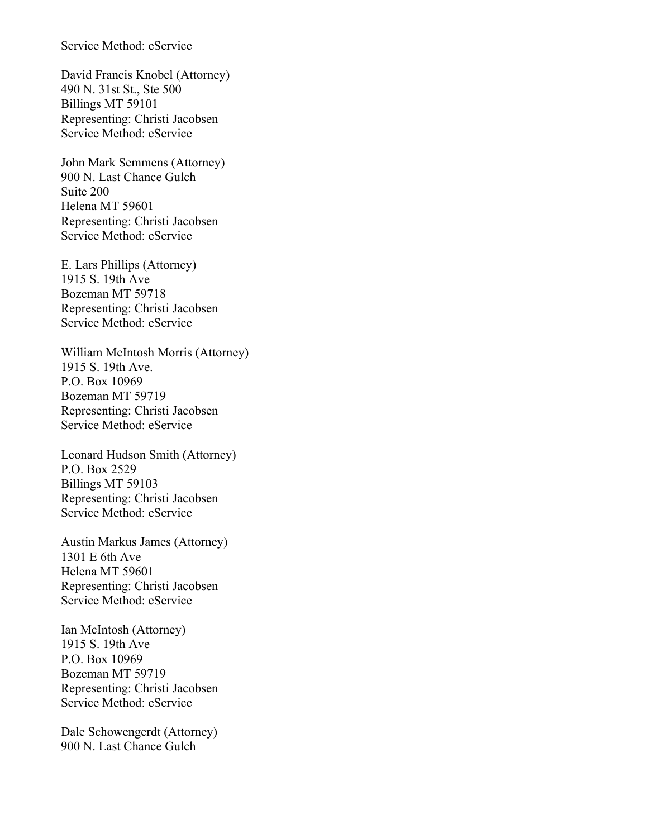#### Service Method: eService

David Francis Knobel (Attorney) 490 N. 31st St., Ste 500 Billings MT 59101 Representing: Christi Jacobsen Service Method: eService

John Mark Semmens (Attorney) 900 N. Last Chance Gulch Suite 200 Helena MT 59601 Representing: Christi Jacobsen Service Method: eService

E. Lars Phillips (Attorney) 1915 S. 19th Ave Bozeman MT 59718 Representing: Christi Jacobsen Service Method: eService

William McIntosh Morris (Attorney) 1915 S. 19th Ave. P.O. Box 10969 Bozeman MT 59719 Representing: Christi Jacobsen Service Method: eService

Leonard Hudson Smith (Attorney) P.O. Box 2529 Billings MT 59103 Representing: Christi Jacobsen Service Method: eService

Austin Markus James (Attorney) 1301 E 6th Ave Helena MT 59601 Representing: Christi Jacobsen Service Method: eService

Ian McIntosh (Attorney) 1915 S. 19th Ave P.O. Box 10969 Bozeman MT 59719 Representing: Christi Jacobsen Service Method: eService

Dale Schowengerdt (Attorney) 900 N. Last Chance Gulch